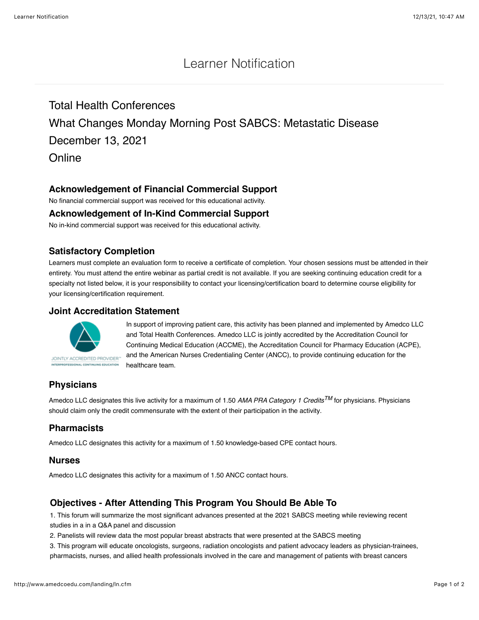## Learner Notification

## Total Health Conferences

# What Changes Monday Morning Post SABCS: Metastatic Disease

December 13, 2021

**Online** 

### **Acknowledgement of Financial Commercial Support**

No financial commercial support was received for this educational activity.

#### **Acknowledgement of In-Kind Commercial Support**

No in-kind commercial support was received for this educational activity.

#### **Satisfactory Completion**

Learners must complete an evaluation form to receive a certificate of completion. Your chosen sessions must be attended in their entirety. You must attend the entire webinar as partial credit is not available. If you are seeking continuing education credit for a specialty not listed below, it is your responsibility to contact your licensing/certification board to determine course eligibility for your licensing/certification requirement.

#### **Joint Accreditation Statement**



In support of improving patient care, this activity has been planned and implemented by Amedco LLC and Total Health Conferences. Amedco LLC is jointly accredited by the Accreditation Council for Continuing Medical Education (ACCME), the Accreditation Council for Pharmacy Education (ACPE), and the American Nurses Credentialing Center (ANCC), to provide continuing education for the healthcare team.

## **Physicians**

Amedco LLC designates this live activity for a maximum of 1.50 *AMA PRA Category 1 CreditsTM* for physicians. Physicians should claim only the credit commensurate with the extent of their participation in the activity.

### **Pharmacists**

Amedco LLC designates this activity for a maximum of 1.50 knowledge-based CPE contact hours.

#### **Nurses**

Amedco LLC designates this activity for a maximum of 1.50 ANCC contact hours.

### **Objectives - After Attending This Program You Should Be Able To**

1. This forum will summarize the most significant advances presented at the 2021 SABCS meeting while reviewing recent studies in a in a Q&A panel and discussion

2. Panelists will review data the most popular breast abstracts that were presented at the SABCS meeting

3. This program will educate oncologists, surgeons, radiation oncologists and patient advocacy leaders as physician-trainees, pharmacists, nurses, and allied health professionals involved in the care and management of patients with breast cancers